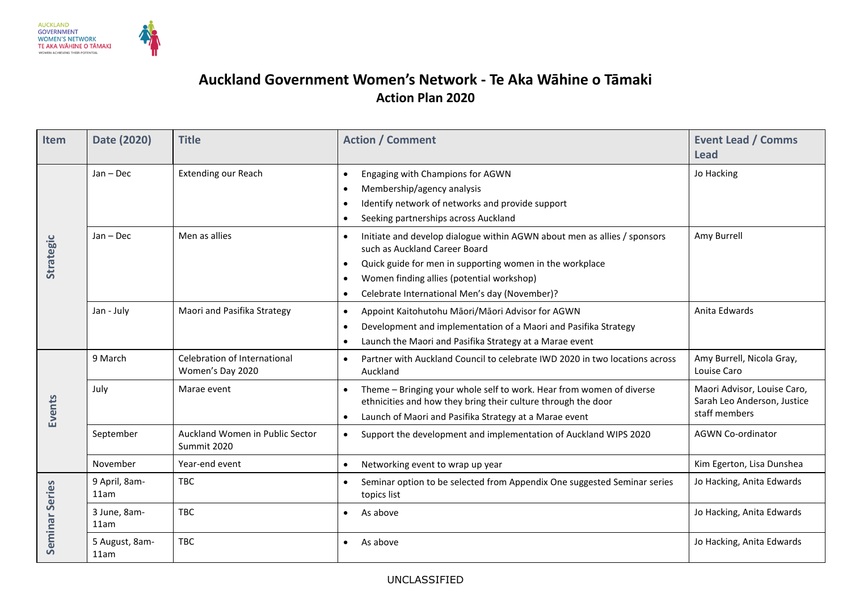

## **Auckland Government Women's Network - Te Aka Wāhine o Tāmaki Action Plan 2020**

| Item           | Date (2020)            | <b>Title</b>                                     | <b>Action / Comment</b>                                                                                                                                                                                                                                             | <b>Event Lead / Comms</b><br><b>Lead</b>                                    |
|----------------|------------------------|--------------------------------------------------|---------------------------------------------------------------------------------------------------------------------------------------------------------------------------------------------------------------------------------------------------------------------|-----------------------------------------------------------------------------|
| Strategic      | $Jan - Dec$            | <b>Extending our Reach</b>                       | Engaging with Champions for AGWN<br>Membership/agency analysis<br>Identify network of networks and provide support<br>Seeking partnerships across Auckland                                                                                                          | Jo Hacking                                                                  |
|                | $Jan - Dec$            | Men as allies                                    | Initiate and develop dialogue within AGWN about men as allies / sponsors<br>such as Auckland Career Board<br>Quick guide for men in supporting women in the workplace<br>Women finding allies (potential workshop)<br>Celebrate International Men's day (November)? | Amy Burrell                                                                 |
|                | Jan - July             | Maori and Pasifika Strategy                      | Appoint Kaitohutohu Māori/Māori Advisor for AGWN<br>$\bullet$<br>Development and implementation of a Maori and Pasifika Strategy<br>$\bullet$<br>Launch the Maori and Pasifika Strategy at a Marae event                                                            | Anita Edwards                                                               |
| Events         | 9 March                | Celebration of International<br>Women's Day 2020 | Partner with Auckland Council to celebrate IWD 2020 in two locations across<br>Auckland                                                                                                                                                                             | Amy Burrell, Nicola Gray,<br>Louise Caro                                    |
|                | July                   | Marae event                                      | Theme - Bringing your whole self to work. Hear from women of diverse<br>ethnicities and how they bring their culture through the door<br>Launch of Maori and Pasifika Strategy at a Marae event<br>$\bullet$                                                        | Maori Advisor, Louise Caro,<br>Sarah Leo Anderson, Justice<br>staff members |
|                | September              | Auckland Women in Public Sector<br>Summit 2020   | Support the development and implementation of Auckland WIPS 2020                                                                                                                                                                                                    | <b>AGWN Co-ordinator</b>                                                    |
|                | November               | Year-end event                                   | Networking event to wrap up year                                                                                                                                                                                                                                    | Kim Egerton, Lisa Dunshea                                                   |
| Seminar Series | 9 April, 8am-<br>11am  | <b>TBC</b>                                       | Seminar option to be selected from Appendix One suggested Seminar series<br>topics list                                                                                                                                                                             | Jo Hacking, Anita Edwards                                                   |
|                | 3 June, 8am-<br>11am   | <b>TBC</b>                                       | As above                                                                                                                                                                                                                                                            | Jo Hacking, Anita Edwards                                                   |
|                | 5 August, 8am-<br>11am | <b>TBC</b>                                       | As above                                                                                                                                                                                                                                                            | Jo Hacking, Anita Edwards                                                   |